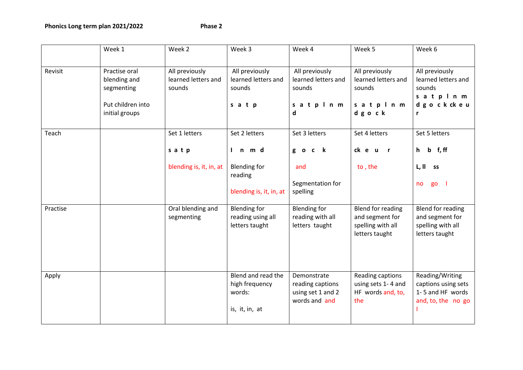Phonics Long term plan 2021/2022 Phase 2

|          | Week 1                                                                             | Week 2                                          | Week 3                                                           | Week 4                                                                | Week 5                                                                      | Week 6                                                                             |
|----------|------------------------------------------------------------------------------------|-------------------------------------------------|------------------------------------------------------------------|-----------------------------------------------------------------------|-----------------------------------------------------------------------------|------------------------------------------------------------------------------------|
| Revisit  | Practise oral<br>blending and<br>segmenting<br>Put children into<br>initial groups | All previously<br>learned letters and<br>sounds | All previously<br>learned letters and<br>sounds<br>satp          | All previously<br>learned letters and<br>sounds<br>satpinm<br>d       | All previously<br>learned letters and<br>sounds<br>satpinm<br>dgock         | All previously<br>learned letters and<br>sounds<br>satpinm<br>dgockckeu<br>r       |
| Teach    |                                                                                    | Set 1 letters<br>satp                           | Set 2 letters<br>In md                                           | Set 3 letters<br>$\mathbf k$<br>g o c                                 | Set 4 letters<br>ck e u<br>$\mathbf{r}$                                     | Set 5 letters<br>f, ff<br>h<br>$\mathbf b$                                         |
|          |                                                                                    | blending is, it, in, at                         | <b>Blending for</b><br>reading<br>blending is, it, in, at        | and<br>Segmentation for<br>spelling                                   | to, the                                                                     | L, II<br><b>SS</b><br>go l<br>no                                                   |
| Practise |                                                                                    | Oral blending and<br>segmenting                 | <b>Blending for</b><br>reading using all<br>letters taught       | <b>Blending for</b><br>reading with all<br>letters taught             | Blend for reading<br>and segment for<br>spelling with all<br>letters taught | <b>Blend for reading</b><br>and segment for<br>spelling with all<br>letters taught |
| Apply    |                                                                                    |                                                 | Blend and read the<br>high frequency<br>words:<br>is, it, in, at | Demonstrate<br>reading captions<br>using set 1 and 2<br>words and and | Reading captions<br>using sets 1-4 and<br>HF words and, to,<br>the          | Reading/Writing<br>captions using sets<br>1-5 and HF words<br>and, to, the no go   |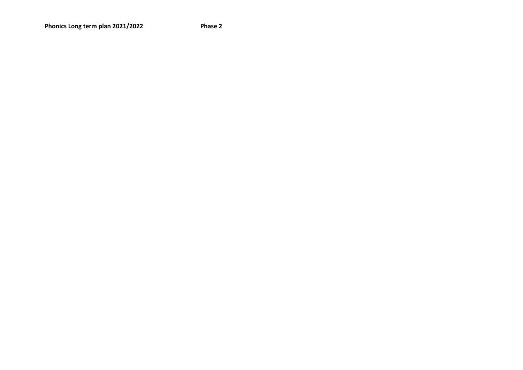Phonics Long term plan 2021/2022 Phase 2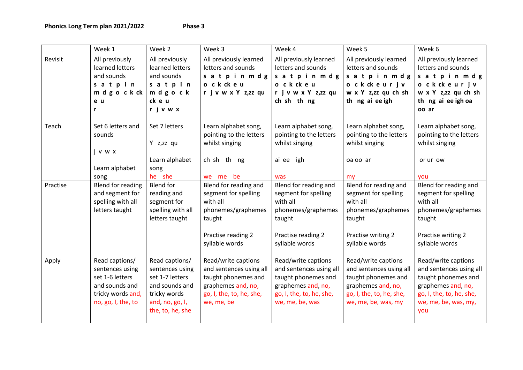|          | Week 1                                                                                                            | Week 2                                                                                                                        | Week 3                                                                                                                                | Week 4                                                                                                                                     | Week 5                                                                                                                                         | Week 6                                                                                                                                                 |
|----------|-------------------------------------------------------------------------------------------------------------------|-------------------------------------------------------------------------------------------------------------------------------|---------------------------------------------------------------------------------------------------------------------------------------|--------------------------------------------------------------------------------------------------------------------------------------------|------------------------------------------------------------------------------------------------------------------------------------------------|--------------------------------------------------------------------------------------------------------------------------------------------------------|
| Revisit  | All previously<br>learned letters<br>and sounds<br>satpin<br>m d g o c k ck<br>e u<br>r                           | All previously<br>learned letters<br>and sounds<br>satpin<br>mdgock<br>ck e u<br>rjvwx                                        | All previously learned<br>letters and sounds<br>satpinmdg<br>o ckckeu<br>r j v w x Y z,zz qu                                          | All previously learned<br>letters and sounds<br>satpinmdg<br>o ckckeu<br>r j v w x Y z,zz qu<br>ch sh th ng                                | All previously learned<br>letters and sounds<br>satpinmdg<br>o ckckeurjv<br>w x Y z,zz qu ch sh<br>th ng ai ee igh                             | All previously learned<br>letters and sounds<br>satpinmdg<br>o ckckeurjv<br>w x Y z,zz qu ch sh<br>th ng ai ee igh oa<br>oo ar                         |
| Teach    | Set 6 letters and<br>sounds<br>jvwx<br>Learn alphabet<br>song                                                     | Set 7 letters<br>Y z,zz qu<br>Learn alphabet<br>song<br>he she                                                                | Learn alphabet song,<br>pointing to the letters<br>whilst singing<br>ch sh th ng<br>we me be                                          | Learn alphabet song,<br>pointing to the letters<br>whilst singing<br>ai ee igh<br>was                                                      | Learn alphabet song,<br>pointing to the letters<br>whilst singing<br>oa oo ar<br>my                                                            | Learn alphabet song,<br>pointing to the letters<br>whilst singing<br>or ur ow<br>you                                                                   |
| Practise | Blend for reading<br>and segment for<br>spelling with all<br>letters taught                                       | <b>Blend</b> for<br>reading and<br>segment for<br>spelling with all<br>letters taught                                         | Blend for reading and<br>segment for spelling<br>with all<br>phonemes/graphemes<br>taught<br>Practise reading 2<br>syllable words     | Blend for reading and<br>segment for spelling<br>with all<br>phonemes/graphemes<br>taught<br>Practise reading 2<br>syllable words          | Blend for reading and<br>segment for spelling<br>with all<br>phonemes/graphemes<br>taught<br>Practise writing 2<br>syllable words              | Blend for reading and<br>segment for spelling<br>with all<br>phonemes/graphemes<br>taught<br>Practise writing 2<br>syllable words                      |
| Apply    | Read captions/<br>sentences using<br>set 1-6 letters<br>and sounds and<br>tricky words and,<br>no, go, I, the, to | Read captions/<br>sentences using<br>set 1-7 letters<br>and sounds and<br>tricky words<br>and, no, go, I,<br>the, to, he, she | Read/write captions<br>and sentences using all<br>taught phonemes and<br>graphemes and, no,<br>go, I, the, to, he, she,<br>we, me, be | Read/write captions<br>and sentences using all<br>taught phonemes and<br>graphemes and, no,<br>go, I, the, to, he, she,<br>we, me, be, was | Read/write captions<br>and sentences using all<br>taught phonemes and<br>graphemes and, no,<br>go, I, the, to, he, she,<br>we, me, be, was, my | Read/write captions<br>and sentences using all<br>taught phonemes and<br>graphemes and, no,<br>go, I, the, to, he, she,<br>we, me, be, was, my,<br>you |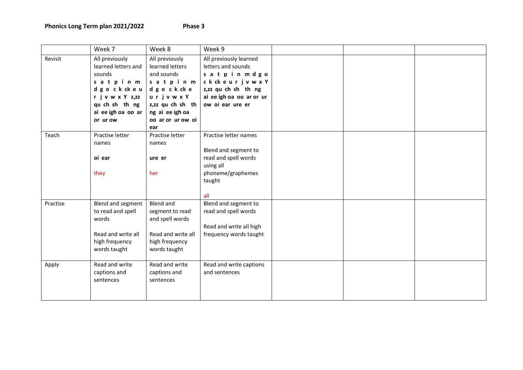|          | Week 7                                          | Week 8                                          | Week 9                                       |  |  |
|----------|-------------------------------------------------|-------------------------------------------------|----------------------------------------------|--|--|
| Revisit  | All previously<br>learned letters and<br>sounds | All previously<br>learned letters<br>and sounds | All previously learned<br>letters and sounds |  |  |
|          | satpinm                                         | satpinm                                         | satpin mdgo<br>ckckeurjvwxY                  |  |  |
|          | dgockckeu                                       | dgockcke                                        | z,zz qu ch sh th ng                          |  |  |
|          | r j v w x Y z,zz                                | urjvwxY                                         | ai ee igh oa oo ar or ur                     |  |  |
|          | qu ch sh th ng                                  | z,zz qu ch sh th                                | ow oi ear ure er                             |  |  |
|          | ai ee igh oa oo ar                              | ng ai ee igh oa                                 |                                              |  |  |
|          | or ur ow                                        | oo ar or ur ow oi                               |                                              |  |  |
|          |                                                 | ear                                             |                                              |  |  |
| Teach    | Practise letter                                 | Practise letter                                 | Practise letter names                        |  |  |
|          | names                                           | names                                           |                                              |  |  |
|          |                                                 |                                                 | Blend and segment to                         |  |  |
|          | oi ear                                          | ure er                                          | read and spell words                         |  |  |
|          |                                                 |                                                 | using all                                    |  |  |
|          | they                                            | her                                             | phoneme/graphemes                            |  |  |
|          |                                                 |                                                 | taught                                       |  |  |
|          |                                                 |                                                 | all                                          |  |  |
| Practise | Blend and segment                               | <b>Blend and</b>                                | Blend and segment to                         |  |  |
|          | to read and spell                               | segment to read                                 | read and spell words                         |  |  |
|          | words                                           | and spell words                                 |                                              |  |  |
|          |                                                 |                                                 | Read and write all high                      |  |  |
|          | Read and write all                              | Read and write all                              | frequency words taught                       |  |  |
|          | high frequency                                  | high frequency                                  |                                              |  |  |
|          | words taught                                    | words taught                                    |                                              |  |  |
| Apply    | Read and write                                  | Read and write                                  | Read and write captions                      |  |  |
|          | captions and                                    | captions and                                    | and sentences                                |  |  |
|          | sentences                                       | sentences                                       |                                              |  |  |
|          |                                                 |                                                 |                                              |  |  |
|          |                                                 |                                                 |                                              |  |  |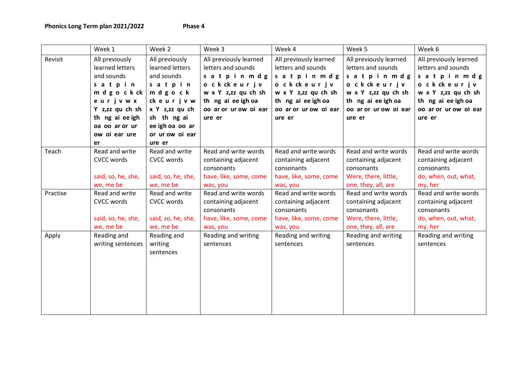|          | Week 1                                                                                                                                                                | Week 2                                                                                                                                                           | Week 3                                                                                                                                                  | Week 4                                                                                                                                                  | Week 5                                                                                                                                                   | Week 6                                                                                                                                                  |
|----------|-----------------------------------------------------------------------------------------------------------------------------------------------------------------------|------------------------------------------------------------------------------------------------------------------------------------------------------------------|---------------------------------------------------------------------------------------------------------------------------------------------------------|---------------------------------------------------------------------------------------------------------------------------------------------------------|----------------------------------------------------------------------------------------------------------------------------------------------------------|---------------------------------------------------------------------------------------------------------------------------------------------------------|
| Revisit  | All previously<br>learned letters<br>and sounds<br>satpin<br>m d g o c k ck<br>eurjvwx<br>Y z,zz qu ch sh<br>th ng ai ee igh<br>oa oo ar or ur<br>ow oi ear ure<br>er | All previously<br>learned letters<br>and sounds<br>satpin<br>mdgock<br>ckeurjvw<br>x Y z,zz qu ch<br>sh th ng ai<br>ee igh oa oo ar<br>or ur ow oi ear<br>ure er | All previously learned<br>letters and sounds<br>satpinmdg<br>ockckeurjv<br>w x Y z,zz qu ch sh<br>th ng ai ee igh oa<br>oo ar or ur ow oi ear<br>ure er | All previously learned<br>letters and sounds<br>satpinmdg<br>ockckeurjv<br>w x Y z,zz qu ch sh<br>th ng ai ee igh oa<br>oo ar or ur ow oi ear<br>ure er | All previously learned<br>letters and sounds<br>satpinmdg<br>o ckckeurjv<br>w x Y z,zz qu ch sh<br>th ng ai ee igh oa<br>oo ar or ur ow oi ear<br>ure er | All previously learned<br>letters and sounds<br>satpinmdg<br>ockckeurjv<br>w x Y z,zz qu ch sh<br>th ng ai ee igh oa<br>oo ar or ur ow oi ear<br>ure er |
| Teach    | Read and write<br><b>CVCC words</b><br>said, so, he, she,<br>we, me be                                                                                                | Read and write<br><b>CVCC words</b><br>said, so, he, she,<br>we, me be                                                                                           | Read and write words<br>containing adjacent<br>consonants<br>have, like, some, come<br>was, you                                                         | Read and write words<br>containing adjacent<br>consonants<br>have, like, some, come<br>was, you                                                         | Read and write words<br>containing adjacent<br>consonants<br>Were, there, little,<br>one, they, all, are                                                 | Read and write words<br>containing adjacent<br>consonants<br>do, when, out, what,<br>my, her                                                            |
| Practise | Read and write<br><b>CVCC words</b><br>said, so, he, she,<br>we, me be                                                                                                | Read and write<br><b>CVCC words</b><br>said, so, he, she,<br>we, me be                                                                                           | Read and write words<br>containing adjacent<br>consonants<br>have, like, some, come<br>was, you                                                         | Read and write words<br>containing adjacent<br>consonants<br>have, like, some, come<br>was, you                                                         | Read and write words<br>containing adjacent<br>consonants<br>Were, there, little,<br>one, they, all, are                                                 | Read and write words<br>containing adjacent<br>consonants<br>do, when, out, what,<br>my, her                                                            |
| Apply    | Reading and<br>writing sentences                                                                                                                                      | Reading and<br>writing<br>sentences                                                                                                                              | Reading and writing<br>sentences                                                                                                                        | Reading and writing<br>sentences                                                                                                                        | Reading and writing<br>sentences                                                                                                                         | Reading and writing<br>sentences                                                                                                                        |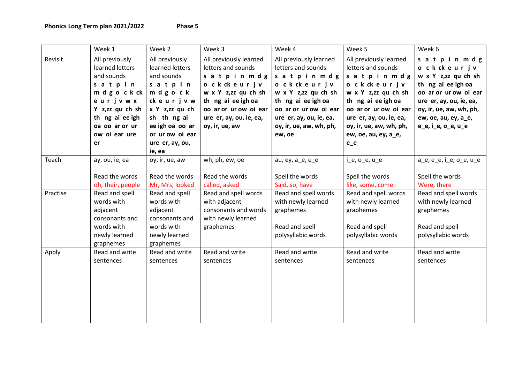|          | Week 1            | Week 2          | Week 3                  | Week 4                  | Week 5                        | Week 6                  |
|----------|-------------------|-----------------|-------------------------|-------------------------|-------------------------------|-------------------------|
| Revisit  | All previously    | All previously  | All previously learned  | All previously learned  | All previously learned        | satpinmdg               |
|          | learned letters   | learned letters | letters and sounds      | letters and sounds      | letters and sounds            | o ckckeurjv             |
|          | and sounds        | and sounds      | satpinmdg               | satpinmdg               | satpinmdg                     | w x Y z,zz qu ch sh     |
|          | satpin            | satpin          | ockckeurjv              | o ckckeurjv             | o ckckeurjv                   | th ng ai ee igh oa      |
|          | m d g o c k ck    | mdgock          | w x Y z,zz qu ch sh     | w x Y z,zz qu ch sh     | w x Y z,zz qu ch sh           | oo ar or ur ow oi ear   |
|          | eurjvwx           | ckeurjvw        | th ng ai ee igh oa      | th ng ai ee igh oa      | th ng ai ee igh oa            | ure er, ay, ou, ie, ea, |
|          | Y z,zz qu ch sh   | x Y z,zz qu ch  | oo ar or ur ow oi ear   | oo ar or ur ow oi ear   | oo ar or ur ow oi ear         | oy, ir, ue, aw, wh, ph, |
|          | th ng ai ee igh   | sh th ng ai     | ure er, ay, ou, ie, ea, | ure er, ay, ou, ie, ea, | ure er, ay, ou, ie, ea,       | ew, oe, au, ey, a_e,    |
|          | oa oo ar or ur    | ee igh oa oo ar | oy, ir, ue, aw          | oy, ir, ue, aw, wh, ph, | oy, ir, ue, aw, wh, ph,       | $e_{e}$ , i_e, o_e, u_e |
|          | ow oi ear ure     | or ur ow oi ear |                         | ew, oe                  | ew, oe, au, ey, a_e,          |                         |
|          | er                | ure er, ay, ou, |                         |                         | $e$ <sup><math>e</math></sup> |                         |
|          |                   | ie, ea          |                         |                         |                               |                         |
| Teach    | ay, ou, ie, ea    | oy, ir, ue, aw  | wh, ph, ew, oe          | au, ey, a_e, e_e        | $i$ e, $o$ e, $u$ e           | a_e, e_e, i_e, o_e, u_e |
|          |                   |                 |                         |                         |                               |                         |
|          | Read the words    | Read the words  | Read the words          | Spell the words         | Spell the words               | Spell the words         |
|          | oh, their, people | Mr, Mrs, looked | called, asked           | Said, so, have          | like, some, come              | Were, there             |
| Practise | Read and spell    | Read and spell  | Read and spell words    | Read and spell words    | Read and spell words          | Read and spell words    |
|          | words with        | words with      | with adjacent           | with newly learned      | with newly learned            | with newly learned      |
|          | adjacent          | adjacent        | consonants and words    | graphemes               | graphemes                     | graphemes               |
|          | consonants and    | consonants and  | with newly learned      |                         |                               |                         |
|          | words with        | words with      | graphemes               | Read and spell          | Read and spell                | Read and spell          |
|          | newly learned     | newly learned   |                         | polysyllabic words      | polysyllabic words            | polysyllabic words      |
|          | graphemes         | graphemes       |                         |                         |                               |                         |
| Apply    | Read and write    | Read and write  | Read and write          | Read and write          | Read and write                | Read and write          |
|          | sentences         | sentences       | sentences               | sentences               | sentences                     | sentences               |
|          |                   |                 |                         |                         |                               |                         |
|          |                   |                 |                         |                         |                               |                         |
|          |                   |                 |                         |                         |                               |                         |
|          |                   |                 |                         |                         |                               |                         |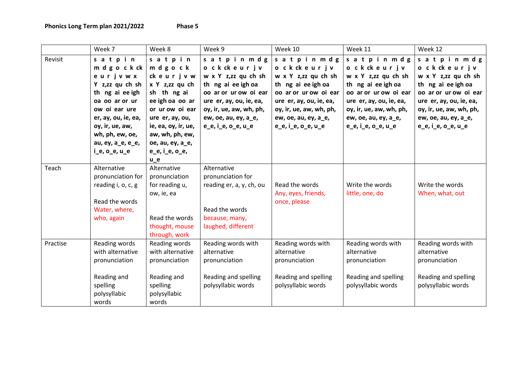| <b>Phase</b> |  |
|--------------|--|
|--------------|--|

|          | Week 7                                                                                                                                                                                                                | Week 8                                                                                                                                                                                                          | Week 9                                                                                                                                                                                               | Week 10                                                                                                                                                                                           | Week 11                                                                                                                                                                                            | Week 12                                                                                                                                                                                           |
|----------|-----------------------------------------------------------------------------------------------------------------------------------------------------------------------------------------------------------------------|-----------------------------------------------------------------------------------------------------------------------------------------------------------------------------------------------------------------|------------------------------------------------------------------------------------------------------------------------------------------------------------------------------------------------------|---------------------------------------------------------------------------------------------------------------------------------------------------------------------------------------------------|----------------------------------------------------------------------------------------------------------------------------------------------------------------------------------------------------|---------------------------------------------------------------------------------------------------------------------------------------------------------------------------------------------------|
| Revisit  | satpin<br>m d g o c k ck<br>eurjvwx<br>Y z,zz qu ch sh<br>th ng ai ee igh<br>oa oo ar or ur<br>ow oi ear ure<br>er, ay, ou, ie, ea,<br>oy, ir, ue, aw,<br>wh, ph, ew, oe,<br>au, ey, a_e, e_e,<br>$i$ e, $o$ e, $u$ e | satpin<br>mdgock<br>ckeurjvw<br>x Y z,zz qu ch<br>sh th ng ai<br>ee igh oa oo ar<br>or ur ow oi ear<br>ure er, ay, ou,<br>ie, ea, oy, ir, ue,<br>aw, wh, ph, ew,<br>oe, au, ey, a_e,<br>e_e, i_e, o_e,<br>$u_e$ | satpinmdg<br>ockckeurjv<br>w x Y z,zz qu ch sh<br>th ng ai ee igh oa<br>oo ar or ur ow oi ear<br>ure er, ay, ou, ie, ea,<br>oy, ir, ue, aw, wh, ph,<br>ew, oe, au, ey, a_e,<br>$e_e$ , i_e, o_e, u_e | satpinmdg<br>ockckeurjv<br>w x Y z,zz qu ch sh<br>th ng ai ee igh oa<br>oo ar or ur ow oi ear<br>ure er, ay, ou, ie, ea,<br>oy, ir, ue, aw, wh, ph,<br>ew, oe, au, ey, a_e,<br>e_e, i_e, o_e, u_e | satpinmdg<br>o ckckeurjv<br>w x Y z,zz qu ch sh<br>th ng ai ee igh oa<br>oo ar or ur ow oi ear<br>ure er, ay, ou, ie, ea,<br>oy, ir, ue, aw, wh, ph,<br>ew, oe, au, ey, a_e,<br>e_e, i_e, o_e, u_e | satpinmdg<br>ockckeurjv<br>w x Y z,zz qu ch sh<br>th ng ai ee igh oa<br>oo ar or ur ow oi ear<br>ure er, ay, ou, ie, ea,<br>oy, ir, ue, aw, wh, ph,<br>ew, oe, au, ey, a_e,<br>e_e, i_e, o_e, u_e |
| Teach    | Alternative<br>pronunciation for<br>reading i, o, c, g<br>Read the words<br>Water, where,<br>who, again                                                                                                               | Alternative<br>pronunciation<br>for reading u,<br>ow, ie, ea<br>Read the words<br>thought, mouse<br>through, work                                                                                               | Alternative<br>pronunciation for<br>reading er, a, y, ch, ou<br>Read the words<br>because, many,<br>laughed, different                                                                               | Read the words<br>Any, eyes, friends,<br>once, please                                                                                                                                             | Write the words<br>little, one, do                                                                                                                                                                 | Write the words<br>When, what, out                                                                                                                                                                |
| Practise | Reading words<br>with alternative<br>pronunciation<br>Reading and<br>spelling<br>polysyllabic<br>words                                                                                                                | Reading words<br>with alternative<br>pronunciation<br>Reading and<br>spelling<br>polysyllabic<br>words                                                                                                          | Reading words with<br>alternative<br>pronunciation<br>Reading and spelling<br>polysyllabic words                                                                                                     | Reading words with<br>alternative<br>pronunciation<br>Reading and spelling<br>polysyllabic words                                                                                                  | Reading words with<br>alternative<br>pronunciation<br>Reading and spelling<br>polysyllabic words                                                                                                   | Reading words with<br>alternative<br>pronunciation<br>Reading and spelling<br>polysyllabic words                                                                                                  |